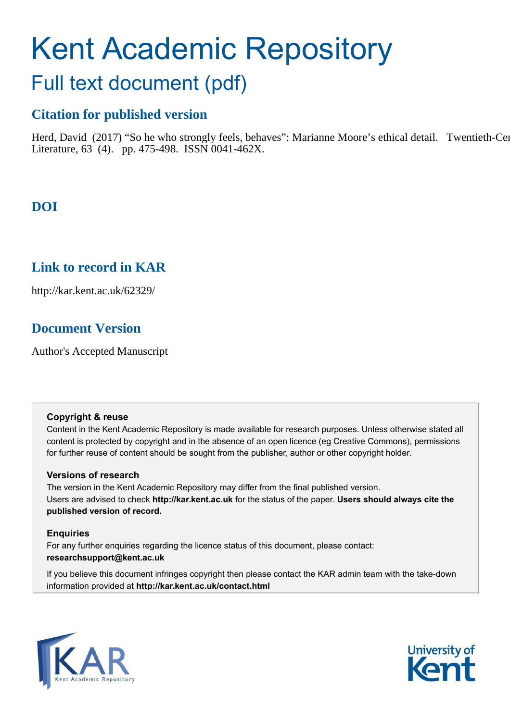# Kent Academic Repository

## Full text document (pdf)

## **Citation for published version**

Herd, David (2017) "So he who strongly feels, behaves": Marianne Moore's ethical detail. Twentieth-Century Literature, 63 (4). pp. 475-498. ISSN 0041-462X.

## **DOI**

### **Link to record in KAR**

http://kar.kent.ac.uk/62329/

## **Document Version**

Author's Accepted Manuscript

#### **Copyright & reuse**

Content in the Kent Academic Repository is made available for research purposes. Unless otherwise stated all content is protected by copyright and in the absence of an open licence (eg Creative Commons), permissions for further reuse of content should be sought from the publisher, author or other copyright holder.

#### **Versions of research**

The version in the Kent Academic Repository may differ from the final published version. Users are advised to check **http://kar.kent.ac.uk** for the status of the paper. **Users should always cite the published version of record.**

#### **Enquiries**

For any further enquiries regarding the licence status of this document, please contact: **researchsupport@kent.ac.uk**

If you believe this document infringes copyright then please contact the KAR admin team with the take-down information provided at **http://kar.kent.ac.uk/contact.html**



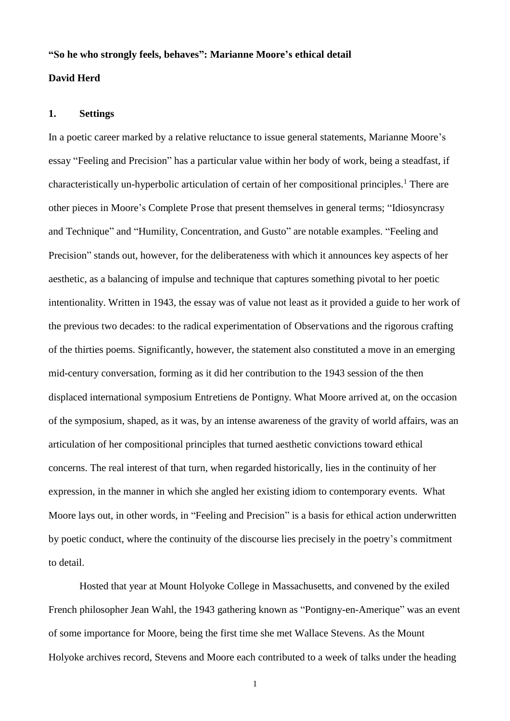#### **"So he who strongly feels, behaves": Marianne Moore's ethical detail**

#### **David Herd**

#### **1. Settings**

In a poetic career marked by a relative reluctance to issue general statements, Marianne Moore's essay "Feeling and Precision" has a particular value within her body of work, being a steadfast, if characteristically un-hyperbolic articulation of certain of her compositional principles.<sup>1</sup> There are other pieces in Moore's Complete Prose that present themselves in general terms; "Idiosyncrasy and Technique" and "Humility, Concentration, and Gusto" are notable examples. "Feeling and Precision" stands out, however, for the deliberateness with which it announces key aspects of her aesthetic, as a balancing of impulse and technique that captures something pivotal to her poetic intentionality. Written in 1943, the essay was of value not least as it provided a guide to her work of the previous two decades: to the radical experimentation of Observations and the rigorous crafting of the thirties poems. Significantly, however, the statement also constituted a move in an emerging mid-century conversation, forming as it did her contribution to the 1943 session of the then displaced international symposium Entretiens de Pontigny. What Moore arrived at, on the occasion of the symposium, shaped, as it was, by an intense awareness of the gravity of world affairs, was an articulation of her compositional principles that turned aesthetic convictions toward ethical concerns. The real interest of that turn, when regarded historically, lies in the continuity of her expression, in the manner in which she angled her existing idiom to contemporary events. What Moore lays out, in other words, in "Feeling and Precision" is a basis for ethical action underwritten by poetic conduct, where the continuity of the discourse lies precisely in the poetry's commitment to detail.

 Hosted that year at Mount Holyoke College in Massachusetts, and convened by the exiled French philosopher Jean Wahl, the 1943 gathering known as "Pontigny-en-Amerique" was an event of some importance for Moore, being the first time she met Wallace Stevens. As the Mount Holyoke archives record, Stevens and Moore each contributed to a week of talks under the heading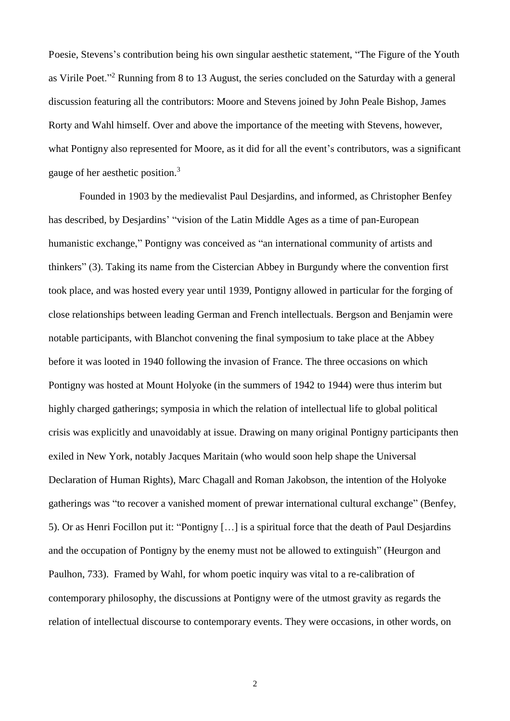Poesie, Stevens's contribution being his own singular aesthetic statement, "The Figure of the Youth as Virile Poet."<sup>2</sup> Running from 8 to 13 August, the series concluded on the Saturday with a general discussion featuring all the contributors: Moore and Stevens joined by John Peale Bishop, James Rorty and Wahl himself. Over and above the importance of the meeting with Stevens, however, what Pontigny also represented for Moore, as it did for all the event's contributors, was a significant gauge of her aesthetic position.<sup>3</sup>

Founded in 1903 by the medievalist Paul Desjardins, and informed, as Christopher Benfey has described, by Desjardins' "vision of the Latin Middle Ages as a time of pan-European humanistic exchange," Pontigny was conceived as "an international community of artists and thinkers" (3). Taking its name from the Cistercian Abbey in Burgundy where the convention first took place, and was hosted every year until 1939, Pontigny allowed in particular for the forging of close relationships between leading German and French intellectuals. Bergson and Benjamin were notable participants, with Blanchot convening the final symposium to take place at the Abbey before it was looted in 1940 following the invasion of France. The three occasions on which Pontigny was hosted at Mount Holyoke (in the summers of 1942 to 1944) were thus interim but highly charged gatherings; symposia in which the relation of intellectual life to global political crisis was explicitly and unavoidably at issue. Drawing on many original Pontigny participants then exiled in New York, notably Jacques Maritain (who would soon help shape the Universal Declaration of Human Rights), Marc Chagall and Roman Jakobson, the intention of the Holyoke gatherings was "to recover a vanished moment of prewar international cultural exchange" (Benfey, 5). Or as Henri Focillon put it: "Pontigny […] is a spiritual force that the death of Paul Desjardins and the occupation of Pontigny by the enemy must not be allowed to extinguish" (Heurgon and Paulhon, 733). Framed by Wahl, for whom poetic inquiry was vital to a re-calibration of contemporary philosophy, the discussions at Pontigny were of the utmost gravity as regards the relation of intellectual discourse to contemporary events. They were occasions, in other words, on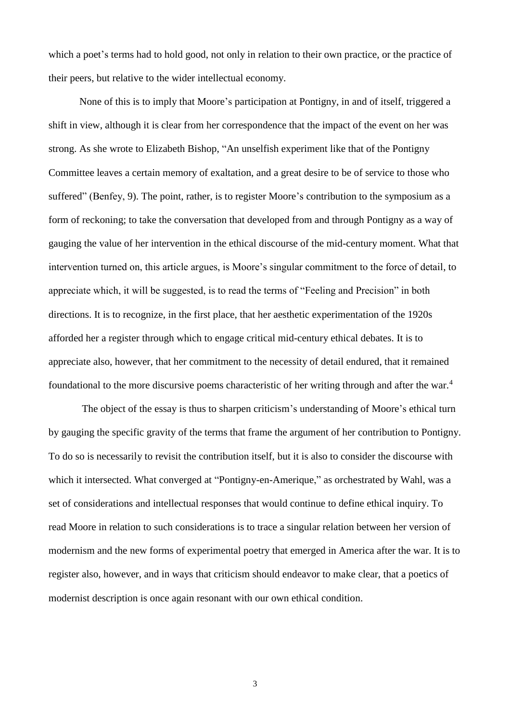which a poet's terms had to hold good, not only in relation to their own practice, or the practice of their peers, but relative to the wider intellectual economy.

 None of this is to imply that Moore's participation at Pontigny, in and of itself, triggered a shift in view, although it is clear from her correspondence that the impact of the event on her was strong. As she wrote to Elizabeth Bishop, "An unselfish experiment like that of the Pontigny Committee leaves a certain memory of exaltation, and a great desire to be of service to those who suffered" (Benfey, 9). The point, rather, is to register Moore's contribution to the symposium as a form of reckoning; to take the conversation that developed from and through Pontigny as a way of gauging the value of her intervention in the ethical discourse of the mid-century moment. What that intervention turned on, this article argues, is Moore's singular commitment to the force of detail, to appreciate which, it will be suggested, is to read the terms of "Feeling and Precision" in both directions. It is to recognize, in the first place, that her aesthetic experimentation of the 1920s afforded her a register through which to engage critical mid-century ethical debates. It is to appreciate also, however, that her commitment to the necessity of detail endured, that it remained foundational to the more discursive poems characteristic of her writing through and after the war.<sup>4</sup>

 The object of the essay is thus to sharpen criticism's understanding of Moore's ethical turn by gauging the specific gravity of the terms that frame the argument of her contribution to Pontigny. To do so is necessarily to revisit the contribution itself, but it is also to consider the discourse with which it intersected. What converged at "Pontigny-en-Amerique," as orchestrated by Wahl, was a set of considerations and intellectual responses that would continue to define ethical inquiry. To read Moore in relation to such considerations is to trace a singular relation between her version of modernism and the new forms of experimental poetry that emerged in America after the war. It is to register also, however, and in ways that criticism should endeavor to make clear, that a poetics of modernist description is once again resonant with our own ethical condition.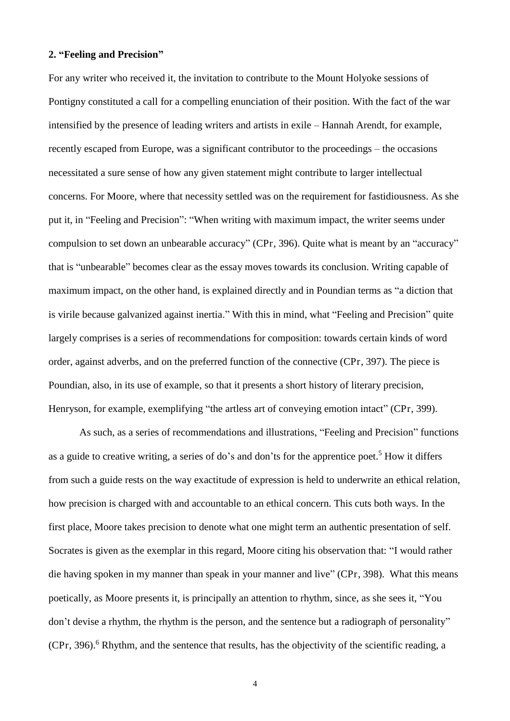#### **2. "Feeling and Precision"**

For any writer who received it, the invitation to contribute to the Mount Holyoke sessions of Pontigny constituted a call for a compelling enunciation of their position. With the fact of the war intensified by the presence of leading writers and artists in exile – Hannah Arendt, for example, recently escaped from Europe, was a significant contributor to the proceedings – the occasions necessitated a sure sense of how any given statement might contribute to larger intellectual concerns. For Moore, where that necessity settled was on the requirement for fastidiousness. As she put it, in "Feeling and Precision": "When writing with maximum impact, the writer seems under compulsion to set down an unbearable accuracy" (CPr, 396). Quite what is meant by an "accuracy" that is "unbearable" becomes clear as the essay moves towards its conclusion. Writing capable of maximum impact, on the other hand, is explained directly and in Poundian terms as "a diction that is virile because galvanized against inertia." With this in mind, what "Feeling and Precision" quite largely comprises is a series of recommendations for composition: towards certain kinds of word order, against adverbs, and on the preferred function of the connective (CPr, 397). The piece is Poundian, also, in its use of example, so that it presents a short history of literary precision, Henryson, for example, exemplifying "the artless art of conveying emotion intact" (CPr, 399).

 As such, as a series of recommendations and illustrations, "Feeling and Precision" functions as a guide to creative writing, a series of do's and don'ts for the apprentice poet.<sup>5</sup> How it differs from such a guide rests on the way exactitude of expression is held to underwrite an ethical relation, how precision is charged with and accountable to an ethical concern. This cuts both ways. In the first place, Moore takes precision to denote what one might term an authentic presentation of self. Socrates is given as the exemplar in this regard, Moore citing his observation that: "I would rather die having spoken in my manner than speak in your manner and live" (CPr, 398). What this means poetically, as Moore presents it, is principally an attention to rhythm, since, as she sees it, "You don't devise a rhythm, the rhythm is the person, and the sentence but a radiograph of personality"  $(CPr, 396)$ .<sup>6</sup> Rhythm, and the sentence that results, has the objectivity of the scientific reading, a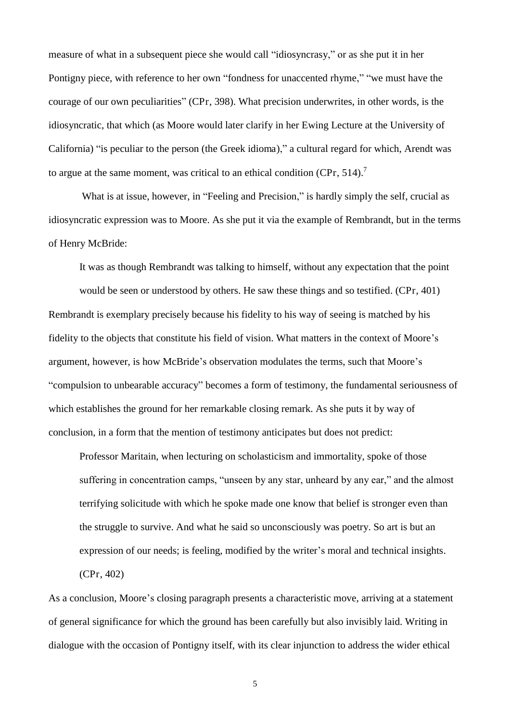measure of what in a subsequent piece she would call "idiosyncrasy," or as she put it in her Pontigny piece, with reference to her own "fondness for unaccented rhyme," "we must have the courage of our own peculiarities" (CPr, 398). What precision underwrites, in other words, is the idiosyncratic, that which (as Moore would later clarify in her Ewing Lecture at the University of California) "is peculiar to the person (the Greek idioma)," a cultural regard for which, Arendt was to argue at the same moment, was critical to an ethical condition (CPr, 514).<sup>7</sup>

What is at issue, however, in "Feeling and Precision," is hardly simply the self, crucial as idiosyncratic expression was to Moore. As she put it via the example of Rembrandt, but in the terms of Henry McBride:

It was as though Rembrandt was talking to himself, without any expectation that the point

would be seen or understood by others. He saw these things and so testified. (CPr, 401) Rembrandt is exemplary precisely because his fidelity to his way of seeing is matched by his fidelity to the objects that constitute his field of vision. What matters in the context of Moore's argument, however, is how McBride's observation modulates the terms, such that Moore's "compulsion to unbearable accuracy" becomes a form of testimony, the fundamental seriousness of which establishes the ground for her remarkable closing remark. As she puts it by way of conclusion, in a form that the mention of testimony anticipates but does not predict:

Professor Maritain, when lecturing on scholasticism and immortality, spoke of those suffering in concentration camps, "unseen by any star, unheard by any ear," and the almost terrifying solicitude with which he spoke made one know that belief is stronger even than the struggle to survive. And what he said so unconsciously was poetry. So art is but an expression of our needs; is feeling, modified by the writer's moral and technical insights. (CPr, 402)

As a conclusion, Moore's closing paragraph presents a characteristic move, arriving at a statement of general significance for which the ground has been carefully but also invisibly laid. Writing in dialogue with the occasion of Pontigny itself, with its clear injunction to address the wider ethical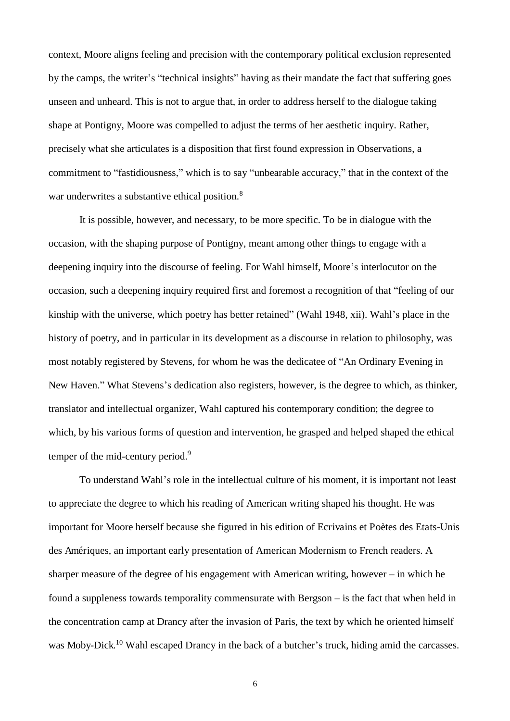context, Moore aligns feeling and precision with the contemporary political exclusion represented by the camps, the writer's "technical insights" having as their mandate the fact that suffering goes unseen and unheard. This is not to argue that, in order to address herself to the dialogue taking shape at Pontigny, Moore was compelled to adjust the terms of her aesthetic inquiry. Rather, precisely what she articulates is a disposition that first found expression in Observations, a commitment to "fastidiousness," which is to say "unbearable accuracy," that in the context of the war underwrites a substantive ethical position.<sup>8</sup>

 It is possible, however, and necessary, to be more specific. To be in dialogue with the occasion, with the shaping purpose of Pontigny, meant among other things to engage with a deepening inquiry into the discourse of feeling. For Wahl himself, Moore's interlocutor on the occasion, such a deepening inquiry required first and foremost a recognition of that "feeling of our kinship with the universe, which poetry has better retained" (Wahl 1948, xii). Wahl's place in the history of poetry, and in particular in its development as a discourse in relation to philosophy, was most notably registered by Stevens, for whom he was the dedicatee of "An Ordinary Evening in New Haven." What Stevens's dedication also registers, however, is the degree to which, as thinker, translator and intellectual organizer, Wahl captured his contemporary condition; the degree to which, by his various forms of question and intervention, he grasped and helped shaped the ethical temper of the mid-century period.<sup>9</sup>

To understand Wahl's role in the intellectual culture of his moment, it is important not least to appreciate the degree to which his reading of American writing shaped his thought. He was important for Moore herself because she figured in his edition of Ecrivains et Poètes des Etats-Unis des Amériques, an important early presentation of American Modernism to French readers. A sharper measure of the degree of his engagement with American writing, however – in which he found a suppleness towards temporality commensurate with Bergson – is the fact that when held in the concentration camp at Drancy after the invasion of Paris, the text by which he oriented himself was Moby-Dick.<sup>10</sup> Wahl escaped Drancy in the back of a butcher's truck, hiding amid the carcasses.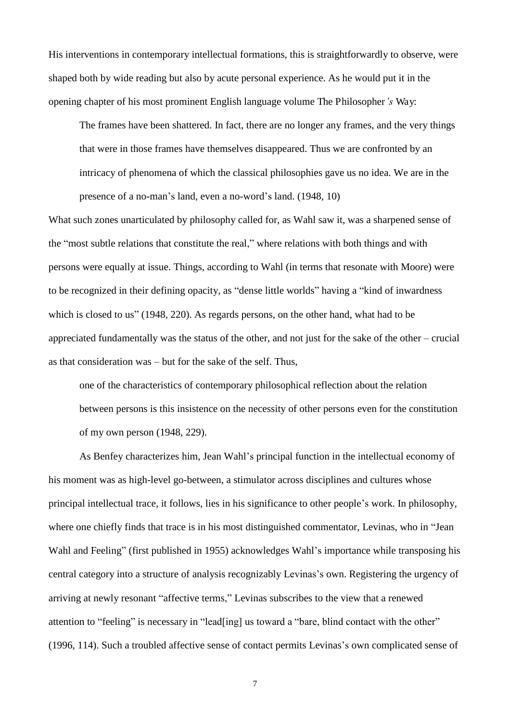His interventions in contemporary intellectual formations, this is straightforwardly to observe, were shaped both by wide reading but also by acute personal experience. As he would put it in the opening chapter of his most prominent English language volume The Philosopher*'s* Way:

The frames have been shattered. In fact, there are no longer any frames, and the very things that were in those frames have themselves disappeared. Thus we are confronted by an intricacy of phenomena of which the classical philosophies gave us no idea. We are in the presence of a no-man's land, even a no-word's land. (1948, 10)

What such zones unarticulated by philosophy called for, as Wahl saw it, was a sharpened sense of the "most subtle relations that constitute the real," where relations with both things and with persons were equally at issue. Things, according to Wahl (in terms that resonate with Moore) were to be recognized in their defining opacity, as "dense little worlds" having a "kind of inwardness which is closed to us" (1948, 220). As regards persons, on the other hand, what had to be appreciated fundamentally was the status of the other, and not just for the sake of the other – crucial as that consideration was – but for the sake of the self. Thus,

one of the characteristics of contemporary philosophical reflection about the relation between persons is this insistence on the necessity of other persons even for the constitution of my own person (1948, 229).

 As Benfey characterizes him, Jean Wahl's principal function in the intellectual economy of his moment was as high-level go-between, a stimulator across disciplines and cultures whose principal intellectual trace, it follows, lies in his significance to other people's work. In philosophy, where one chiefly finds that trace is in his most distinguished commentator, Levinas, who in "Jean Wahl and Feeling" (first published in 1955) acknowledges Wahl's importance while transposing his central category into a structure of analysis recognizably Levinas's own. Registering the urgency of arriving at newly resonant "affective terms," Levinas subscribes to the view that a renewed attention to "feeling" is necessary in "lead[ing] us toward a "bare, blind contact with the other" (1996, 114). Such a troubled affective sense of contact permits Levinas's own complicated sense of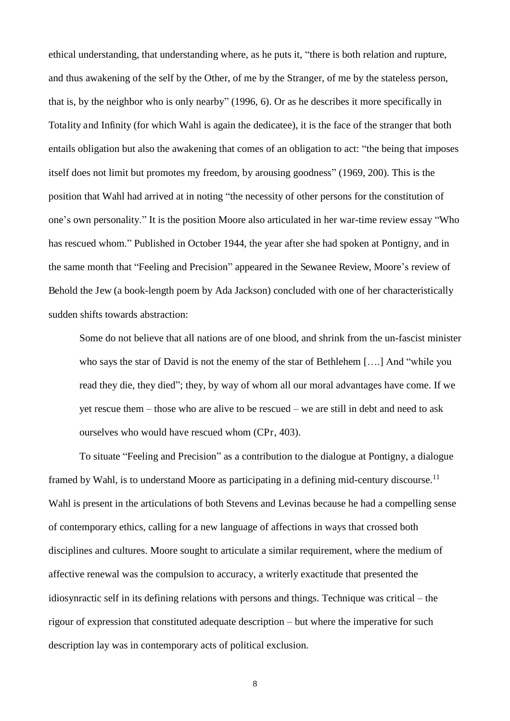ethical understanding, that understanding where, as he puts it, "there is both relation and rupture, and thus awakening of the self by the Other, of me by the Stranger, of me by the stateless person, that is, by the neighbor who is only nearby" (1996, 6). Or as he describes it more specifically in Totality and Infinity (for which Wahl is again the dedicatee), it is the face of the stranger that both entails obligation but also the awakening that comes of an obligation to act: "the being that imposes itself does not limit but promotes my freedom, by arousing goodness" (1969, 200). This is the position that Wahl had arrived at in noting "the necessity of other persons for the constitution of one's own personality." It is the position Moore also articulated in her war-time review essay "Who has rescued whom." Published in October 1944, the year after she had spoken at Pontigny, and in the same month that "Feeling and Precision" appeared in the Sewanee Review, Moore's review of Behold the Jew (a book-length poem by Ada Jackson) concluded with one of her characteristically sudden shifts towards abstraction:

Some do not believe that all nations are of one blood, and shrink from the un-fascist minister who says the star of David is not the enemy of the star of Bethlehem [….] And "while you read they die, they died"; they, by way of whom all our moral advantages have come. If we yet rescue them – those who are alive to be rescued – we are still in debt and need to ask ourselves who would have rescued whom (CPr, 403).

To situate "Feeling and Precision" as a contribution to the dialogue at Pontigny, a dialogue framed by Wahl, is to understand Moore as participating in a defining mid-century discourse.<sup>11</sup> Wahl is present in the articulations of both Stevens and Levinas because he had a compelling sense of contemporary ethics, calling for a new language of affections in ways that crossed both disciplines and cultures. Moore sought to articulate a similar requirement, where the medium of affective renewal was the compulsion to accuracy, a writerly exactitude that presented the idiosynractic self in its defining relations with persons and things. Technique was critical – the rigour of expression that constituted adequate description – but where the imperative for such description lay was in contemporary acts of political exclusion.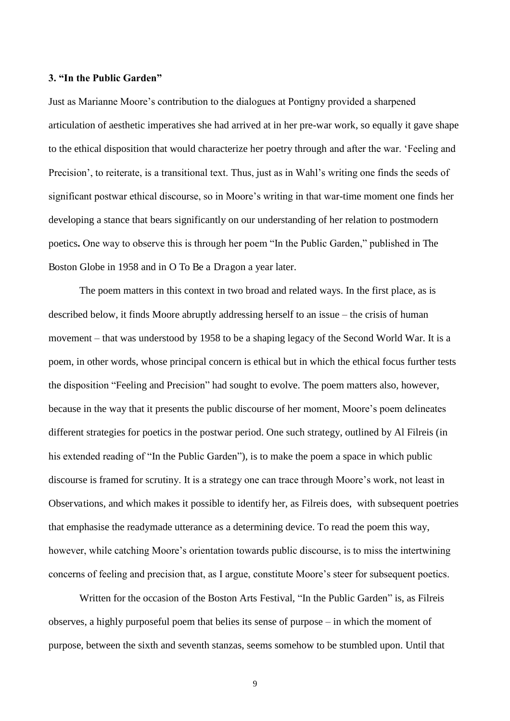#### **3. "In the Public Garden"**

Just as Marianne Moore's contribution to the dialogues at Pontigny provided a sharpened articulation of aesthetic imperatives she had arrived at in her pre-war work, so equally it gave shape to the ethical disposition that would characterize her poetry through and after the war. 'Feeling and Precision', to reiterate, is a transitional text. Thus, just as in Wahl's writing one finds the seeds of significant postwar ethical discourse, so in Moore's writing in that war-time moment one finds her developing a stance that bears significantly on our understanding of her relation to postmodern poetics**.** One way to observe this is through her poem "In the Public Garden," published in The Boston Globe in 1958 and in O To Be a Dragon a year later.

The poem matters in this context in two broad and related ways. In the first place, as is described below, it finds Moore abruptly addressing herself to an issue – the crisis of human movement – that was understood by 1958 to be a shaping legacy of the Second World War. It is a poem, in other words, whose principal concern is ethical but in which the ethical focus further tests the disposition "Feeling and Precision" had sought to evolve. The poem matters also, however, because in the way that it presents the public discourse of her moment, Moore's poem delineates different strategies for poetics in the postwar period. One such strategy, outlined by Al Filreis (in his extended reading of "In the Public Garden"), is to make the poem a space in which public discourse is framed for scrutiny. It is a strategy one can trace through Moore's work, not least in Observations, and which makes it possible to identify her, as Filreis does, with subsequent poetries that emphasise the readymade utterance as a determining device. To read the poem this way, however, while catching Moore's orientation towards public discourse, is to miss the intertwining concerns of feeling and precision that, as I argue, constitute Moore's steer for subsequent poetics.

 Written for the occasion of the Boston Arts Festival, "In the Public Garden" is, as Filreis observes, a highly purposeful poem that belies its sense of purpose – in which the moment of purpose, between the sixth and seventh stanzas, seems somehow to be stumbled upon. Until that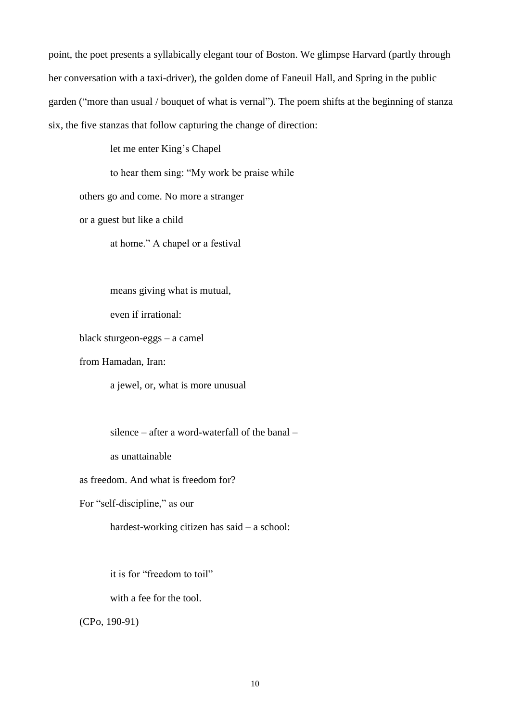point, the poet presents a syllabically elegant tour of Boston. We glimpse Harvard (partly through her conversation with a taxi-driver), the golden dome of Faneuil Hall, and Spring in the public garden ("more than usual / bouquet of what is vernal"). The poem shifts at the beginning of stanza six, the five stanzas that follow capturing the change of direction:

let me enter King's Chapel

to hear them sing: "My work be praise while

others go and come. No more a stranger

or a guest but like a child

at home." A chapel or a festival

means giving what is mutual,

even if irrational:

black sturgeon-eggs – a camel

from Hamadan, Iran:

a jewel, or, what is more unusual

silence – after a word-waterfall of the banal –

as unattainable

as freedom. And what is freedom for?

For "self-discipline," as our

hardest-working citizen has said – a school:

it is for "freedom to toil"

with a fee for the tool.

(CPo, 190-91)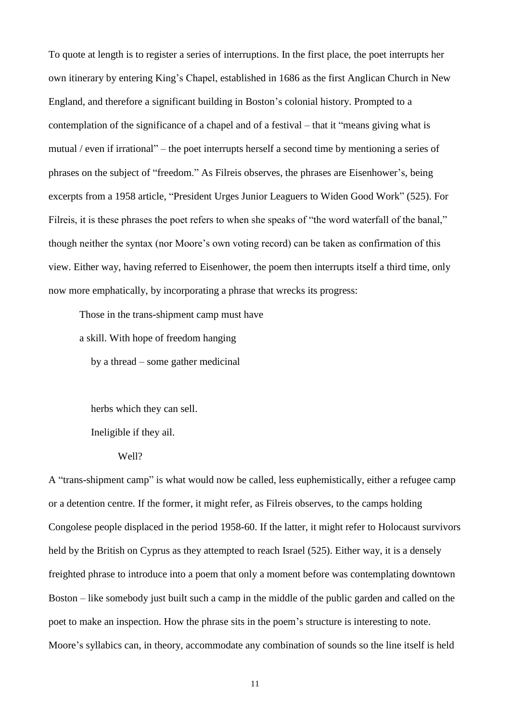To quote at length is to register a series of interruptions. In the first place, the poet interrupts her own itinerary by entering King's Chapel, established in 1686 as the first Anglican Church in New England, and therefore a significant building in Boston's colonial history. Prompted to a contemplation of the significance of a chapel and of a festival – that it "means giving what is mutual / even if irrational" – the poet interrupts herself a second time by mentioning a series of phrases on the subject of "freedom." As Filreis observes, the phrases are Eisenhower's, being excerpts from a 1958 article, "President Urges Junior Leaguers to Widen Good Work" (525). For Filreis, it is these phrases the poet refers to when she speaks of "the word waterfall of the banal," though neither the syntax (nor Moore's own voting record) can be taken as confirmation of this view. Either way, having referred to Eisenhower, the poem then interrupts itself a third time, only now more emphatically, by incorporating a phrase that wrecks its progress:

Those in the trans-shipment camp must have

a skill. With hope of freedom hanging

by a thread – some gather medicinal

herbs which they can sell.

Ineligible if they ail.

Well?

A "trans-shipment camp" is what would now be called, less euphemistically, either a refugee camp or a detention centre. If the former, it might refer, as Filreis observes, to the camps holding Congolese people displaced in the period 1958-60. If the latter, it might refer to Holocaust survivors held by the British on Cyprus as they attempted to reach Israel (525). Either way, it is a densely freighted phrase to introduce into a poem that only a moment before was contemplating downtown Boston – like somebody just built such a camp in the middle of the public garden and called on the poet to make an inspection. How the phrase sits in the poem's structure is interesting to note. Moore's syllabics can, in theory, accommodate any combination of sounds so the line itself is held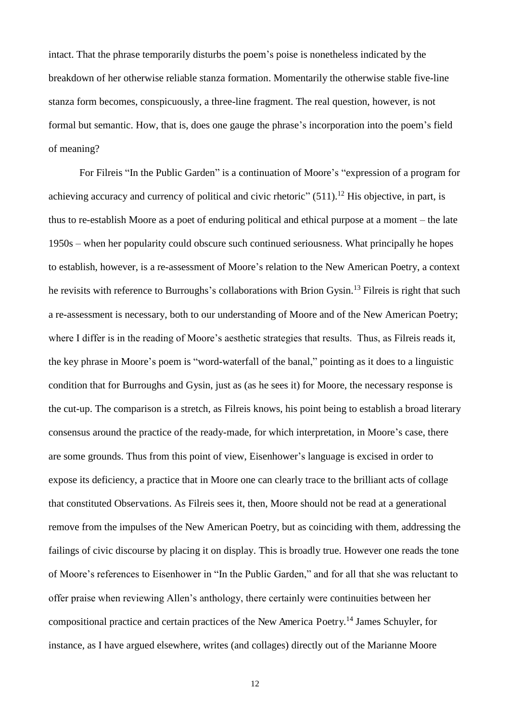intact. That the phrase temporarily disturbs the poem's poise is nonetheless indicated by the breakdown of her otherwise reliable stanza formation. Momentarily the otherwise stable five-line stanza form becomes, conspicuously, a three-line fragment. The real question, however, is not formal but semantic. How, that is, does one gauge the phrase's incorporation into the poem's field of meaning?

 For Filreis "In the Public Garden" is a continuation of Moore's "expression of a program for achieving accuracy and currency of political and civic rhetoric"  $(511)$ .<sup>12</sup> His objective, in part, is thus to re-establish Moore as a poet of enduring political and ethical purpose at a moment – the late 1950s – when her popularity could obscure such continued seriousness. What principally he hopes to establish, however, is a re-assessment of Moore's relation to the New American Poetry, a context he revisits with reference to Burroughs's collaborations with Brion Gysin.<sup>13</sup> Filreis is right that such a re-assessment is necessary, both to our understanding of Moore and of the New American Poetry; where I differ is in the reading of Moore's aesthetic strategies that results. Thus, as Filreis reads it, the key phrase in Moore's poem is "word-waterfall of the banal," pointing as it does to a linguistic condition that for Burroughs and Gysin, just as (as he sees it) for Moore, the necessary response is the cut-up. The comparison is a stretch, as Filreis knows, his point being to establish a broad literary consensus around the practice of the ready-made, for which interpretation, in Moore's case, there are some grounds. Thus from this point of view, Eisenhower's language is excised in order to expose its deficiency, a practice that in Moore one can clearly trace to the brilliant acts of collage that constituted Observations. As Filreis sees it, then, Moore should not be read at a generational remove from the impulses of the New American Poetry, but as coinciding with them, addressing the failings of civic discourse by placing it on display. This is broadly true. However one reads the tone of Moore's references to Eisenhower in "In the Public Garden," and for all that she was reluctant to offer praise when reviewing Allen's anthology, there certainly were continuities between her compositional practice and certain practices of the New America Poetry.<sup>14</sup> James Schuyler, for instance, as I have argued elsewhere, writes (and collages) directly out of the Marianne Moore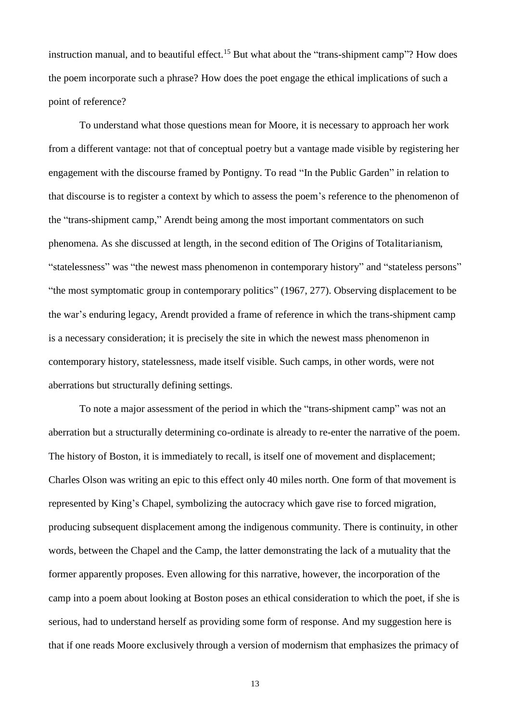instruction manual, and to beautiful effect.<sup>15</sup> But what about the "trans-shipment camp"? How does the poem incorporate such a phrase? How does the poet engage the ethical implications of such a point of reference?

 To understand what those questions mean for Moore, it is necessary to approach her work from a different vantage: not that of conceptual poetry but a vantage made visible by registering her engagement with the discourse framed by Pontigny. To read "In the Public Garden" in relation to that discourse is to register a context by which to assess the poem's reference to the phenomenon of the "trans-shipment camp," Arendt being among the most important commentators on such phenomena. As she discussed at length, in the second edition of The Origins of Totalitarianism, "statelessness" was "the newest mass phenomenon in contemporary history" and "stateless persons" "the most symptomatic group in contemporary politics" (1967, 277). Observing displacement to be the war's enduring legacy, Arendt provided a frame of reference in which the trans-shipment camp is a necessary consideration; it is precisely the site in which the newest mass phenomenon in contemporary history, statelessness, made itself visible. Such camps, in other words, were not aberrations but structurally defining settings.

 To note a major assessment of the period in which the "trans-shipment camp" was not an aberration but a structurally determining co-ordinate is already to re-enter the narrative of the poem. The history of Boston, it is immediately to recall, is itself one of movement and displacement; Charles Olson was writing an epic to this effect only 40 miles north. One form of that movement is represented by King's Chapel, symbolizing the autocracy which gave rise to forced migration, producing subsequent displacement among the indigenous community. There is continuity, in other words, between the Chapel and the Camp, the latter demonstrating the lack of a mutuality that the former apparently proposes. Even allowing for this narrative, however, the incorporation of the camp into a poem about looking at Boston poses an ethical consideration to which the poet, if she is serious, had to understand herself as providing some form of response. And my suggestion here is that if one reads Moore exclusively through a version of modernism that emphasizes the primacy of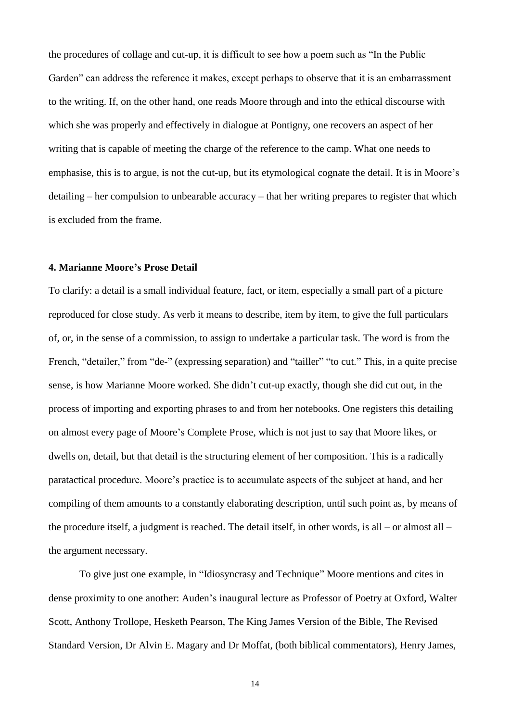the procedures of collage and cut-up, it is difficult to see how a poem such as "In the Public Garden" can address the reference it makes, except perhaps to observe that it is an embarrassment to the writing. If, on the other hand, one reads Moore through and into the ethical discourse with which she was properly and effectively in dialogue at Pontigny, one recovers an aspect of her writing that is capable of meeting the charge of the reference to the camp. What one needs to emphasise, this is to argue, is not the cut-up, but its etymological cognate the detail. It is in Moore's detailing – her compulsion to unbearable accuracy – that her writing prepares to register that which is excluded from the frame.

#### **4. Marianne Moore's Prose Detail**

To clarify: a detail is a small individual feature, fact, or item, especially a small part of a picture reproduced for close study. As verb it means to describe, item by item, to give the full particulars of, or, in the sense of a commission, to assign to undertake a particular task. The word is from the French, "detailer," from "de-" (expressing separation) and "tailler" "to cut." This, in a quite precise sense, is how Marianne Moore worked. She didn't cut-up exactly, though she did cut out, in the process of importing and exporting phrases to and from her notebooks. One registers this detailing on almost every page of Moore's Complete Prose, which is not just to say that Moore likes, or dwells on, detail, but that detail is the structuring element of her composition. This is a radically paratactical procedure. Moore's practice is to accumulate aspects of the subject at hand, and her compiling of them amounts to a constantly elaborating description, until such point as, by means of the procedure itself, a judgment is reached. The detail itself, in other words, is all – or almost all – the argument necessary.

 To give just one example, in "Idiosyncrasy and Technique" Moore mentions and cites in dense proximity to one another: Auden's inaugural lecture as Professor of Poetry at Oxford, Walter Scott, Anthony Trollope, Hesketh Pearson, The King James Version of the Bible, The Revised Standard Version, Dr Alvin E. Magary and Dr Moffat, (both biblical commentators), Henry James,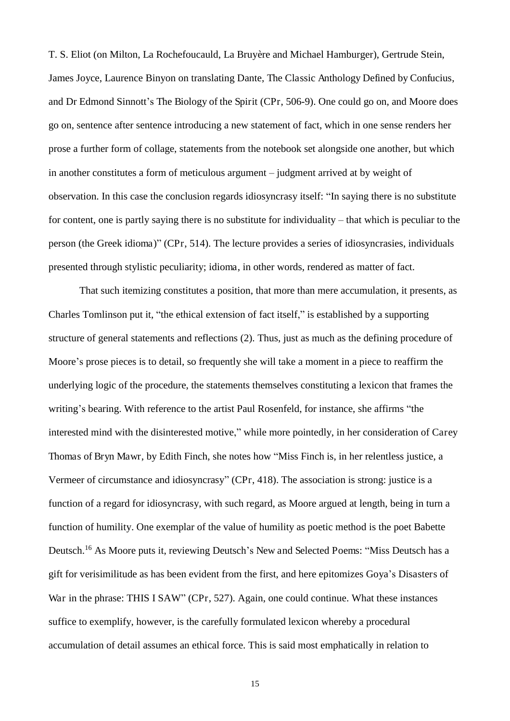T. S. Eliot (on Milton, La Rochefoucauld, La Bruyère and Michael Hamburger), Gertrude Stein, James Joyce, Laurence Binyon on translating Dante, The Classic Anthology Defined by Confucius, and Dr Edmond Sinnott's The Biology of the Spirit (CPr, 506-9). One could go on, and Moore does go on, sentence after sentence introducing a new statement of fact, which in one sense renders her prose a further form of collage, statements from the notebook set alongside one another, but which in another constitutes a form of meticulous argument – judgment arrived at by weight of observation. In this case the conclusion regards idiosyncrasy itself: "In saying there is no substitute for content, one is partly saying there is no substitute for individuality – that which is peculiar to the person (the Greek idioma)" (CPr, 514). The lecture provides a series of idiosyncrasies, individuals presented through stylistic peculiarity; idioma, in other words, rendered as matter of fact.

 That such itemizing constitutes a position, that more than mere accumulation, it presents, as Charles Tomlinson put it, "the ethical extension of fact itself," is established by a supporting structure of general statements and reflections (2). Thus, just as much as the defining procedure of Moore's prose pieces is to detail, so frequently she will take a moment in a piece to reaffirm the underlying logic of the procedure, the statements themselves constituting a lexicon that frames the writing's bearing. With reference to the artist Paul Rosenfeld, for instance, she affirms "the interested mind with the disinterested motive," while more pointedly, in her consideration of Carey Thomas of Bryn Mawr, by Edith Finch, she notes how "Miss Finch is, in her relentless justice, a Vermeer of circumstance and idiosyncrasy" (CPr, 418). The association is strong: justice is a function of a regard for idiosyncrasy, with such regard, as Moore argued at length, being in turn a function of humility. One exemplar of the value of humility as poetic method is the poet Babette Deutsch.<sup>16</sup> As Moore puts it, reviewing Deutsch's New and Selected Poems: "Miss Deutsch has a gift for verisimilitude as has been evident from the first, and here epitomizes Goya's Disasters of War in the phrase: THIS I SAW" (CPr, 527). Again, one could continue. What these instances suffice to exemplify, however, is the carefully formulated lexicon whereby a procedural accumulation of detail assumes an ethical force. This is said most emphatically in relation to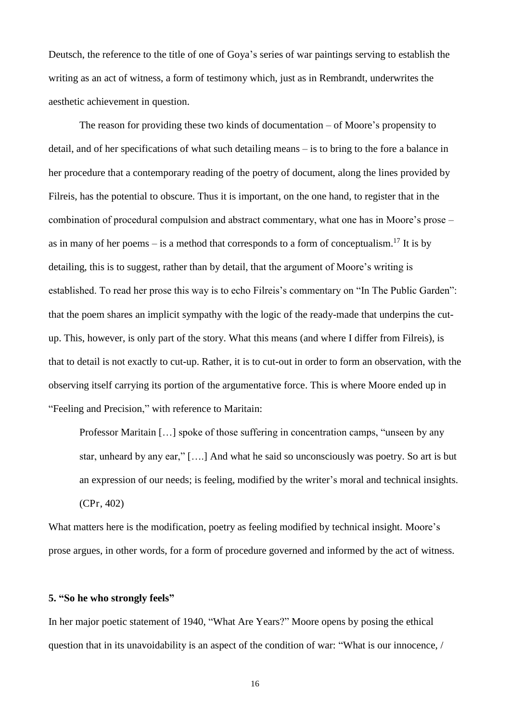Deutsch, the reference to the title of one of Goya's series of war paintings serving to establish the writing as an act of witness, a form of testimony which, just as in Rembrandt, underwrites the aesthetic achievement in question.

 The reason for providing these two kinds of documentation – of Moore's propensity to detail, and of her specifications of what such detailing means – is to bring to the fore a balance in her procedure that a contemporary reading of the poetry of document, along the lines provided by Filreis, has the potential to obscure. Thus it is important, on the one hand, to register that in the combination of procedural compulsion and abstract commentary, what one has in Moore's prose – as in many of her poems – is a method that corresponds to a form of conceptualism.<sup>17</sup> It is by detailing, this is to suggest, rather than by detail, that the argument of Moore's writing is established. To read her prose this way is to echo Filreis's commentary on "In The Public Garden": that the poem shares an implicit sympathy with the logic of the ready-made that underpins the cutup. This, however, is only part of the story. What this means (and where I differ from Filreis), is that to detail is not exactly to cut-up. Rather, it is to cut-out in order to form an observation, with the observing itself carrying its portion of the argumentative force. This is where Moore ended up in "Feeling and Precision," with reference to Maritain:

Professor Maritain […] spoke of those suffering in concentration camps, "unseen by any star, unheard by any ear," [….] And what he said so unconsciously was poetry. So art is but an expression of our needs; is feeling, modified by the writer's moral and technical insights. (CPr, 402)

What matters here is the modification, poetry as feeling modified by technical insight. Moore's prose argues, in other words, for a form of procedure governed and informed by the act of witness.

#### **5. "So he who strongly feels"**

In her major poetic statement of 1940, "What Are Years?" Moore opens by posing the ethical question that in its unavoidability is an aspect of the condition of war: "What is our innocence, /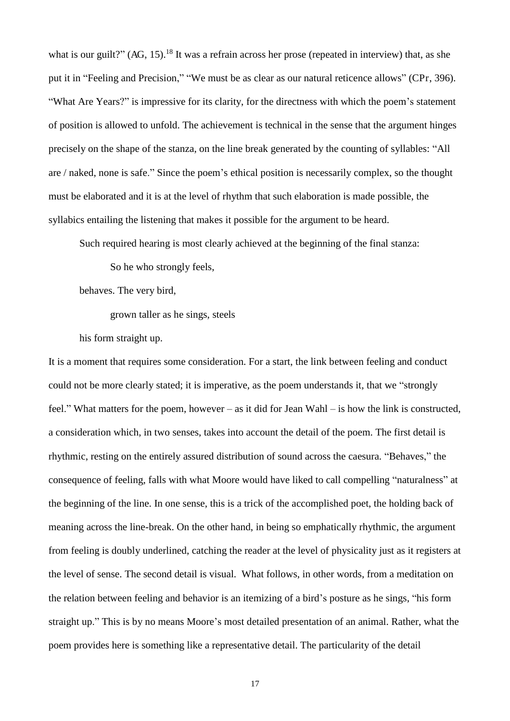what is our guilt?"  $(AG, 15)$ <sup>18</sup>. It was a refrain across her prose (repeated in interview) that, as she put it in "Feeling and Precision," "We must be as clear as our natural reticence allows" (CPr, 396). "What Are Years?" is impressive for its clarity, for the directness with which the poem's statement of position is allowed to unfold. The achievement is technical in the sense that the argument hinges precisely on the shape of the stanza, on the line break generated by the counting of syllables: "All are / naked, none is safe." Since the poem's ethical position is necessarily complex, so the thought must be elaborated and it is at the level of rhythm that such elaboration is made possible, the syllabics entailing the listening that makes it possible for the argument to be heard.

Such required hearing is most clearly achieved at the beginning of the final stanza:

So he who strongly feels,

behaves. The very bird,

grown taller as he sings, steels

his form straight up.

It is a moment that requires some consideration. For a start, the link between feeling and conduct could not be more clearly stated; it is imperative, as the poem understands it, that we "strongly feel." What matters for the poem, however – as it did for Jean Wahl – is how the link is constructed, a consideration which, in two senses, takes into account the detail of the poem. The first detail is rhythmic, resting on the entirely assured distribution of sound across the caesura. "Behaves," the consequence of feeling, falls with what Moore would have liked to call compelling "naturalness" at the beginning of the line. In one sense, this is a trick of the accomplished poet, the holding back of meaning across the line-break. On the other hand, in being so emphatically rhythmic, the argument from feeling is doubly underlined, catching the reader at the level of physicality just as it registers at the level of sense. The second detail is visual. What follows, in other words, from a meditation on the relation between feeling and behavior is an itemizing of a bird's posture as he sings, "his form straight up." This is by no means Moore's most detailed presentation of an animal. Rather, what the poem provides here is something like a representative detail. The particularity of the detail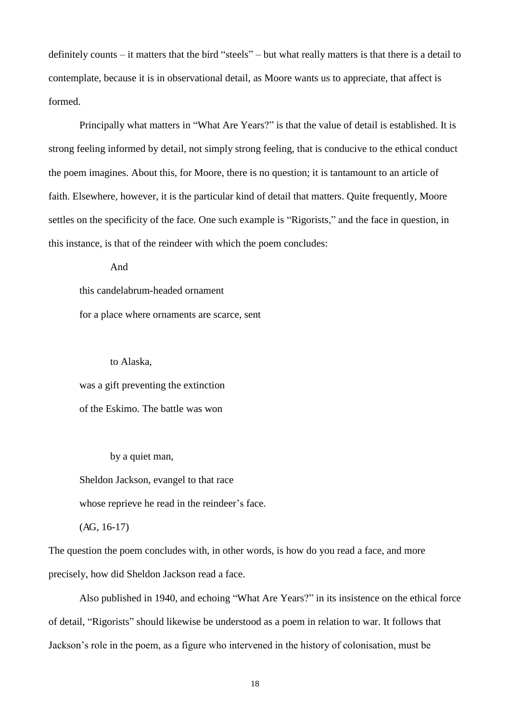definitely counts – it matters that the bird "steels" – but what really matters is that there is a detail to contemplate, because it is in observational detail, as Moore wants us to appreciate, that affect is formed.

 Principally what matters in "What Are Years?" is that the value of detail is established. It is strong feeling informed by detail, not simply strong feeling, that is conducive to the ethical conduct the poem imagines. About this, for Moore, there is no question; it is tantamount to an article of faith. Elsewhere, however, it is the particular kind of detail that matters. Quite frequently, Moore settles on the specificity of the face. One such example is "Rigorists," and the face in question, in this instance, is that of the reindeer with which the poem concludes:

And

this candelabrum-headed ornament

for a place where ornaments are scarce, sent

 to Alaska, was a gift preventing the extinction of the Eskimo. The battle was won

by a quiet man,

Sheldon Jackson, evangel to that race

whose reprieve he read in the reindeer's face.

 $(AG, 16-17)$ 

The question the poem concludes with, in other words, is how do you read a face, and more precisely, how did Sheldon Jackson read a face.

 Also published in 1940, and echoing "What Are Years?" in its insistence on the ethical force of detail, "Rigorists" should likewise be understood as a poem in relation to war. It follows that Jackson's role in the poem, as a figure who intervened in the history of colonisation, must be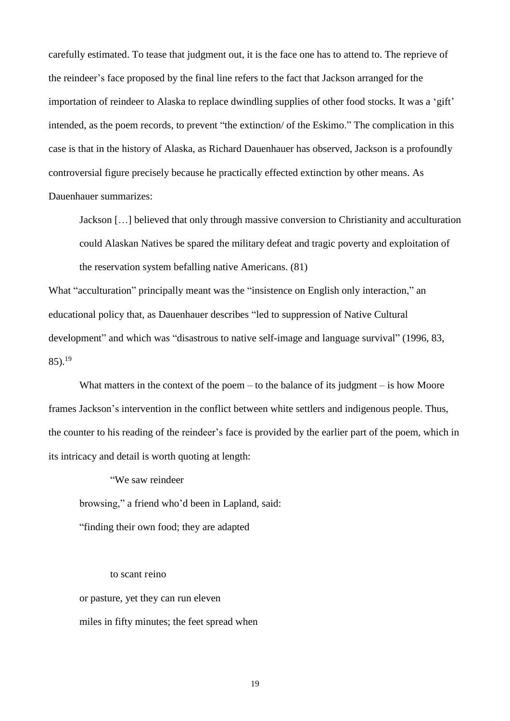carefully estimated. To tease that judgment out, it is the face one has to attend to. The reprieve of the reindeer's face proposed by the final line refers to the fact that Jackson arranged for the importation of reindeer to Alaska to replace dwindling supplies of other food stocks. It was a 'gift' intended, as the poem records, to prevent "the extinction/ of the Eskimo." The complication in this case is that in the history of Alaska, as Richard Dauenhauer has observed, Jackson is a profoundly controversial figure precisely because he practically effected extinction by other means. As Dauenhauer summarizes:

Jackson […] believed that only through massive conversion to Christianity and acculturation could Alaskan Natives be spared the military defeat and tragic poverty and exploitation of the reservation system befalling native Americans. (81)

What "acculturation" principally meant was the "insistence on English only interaction," an educational policy that, as Dauenhauer describes "led to suppression of Native Cultural development" and which was "disastrous to native self-image and language survival" (1996, 83, 85). $^{19}$ 

What matters in the context of the poem – to the balance of its judgment – is how Moore frames Jackson's intervention in the conflict between white settlers and indigenous people. Thus, the counter to his reading of the reindeer's face is provided by the earlier part of the poem, which in its intricacy and detail is worth quoting at length:

 "We saw reindeer browsing," a friend who'd been in Lapland, said: "finding their own food; they are adapted

to scant reino

or pasture, yet they can run eleven

miles in fifty minutes; the feet spread when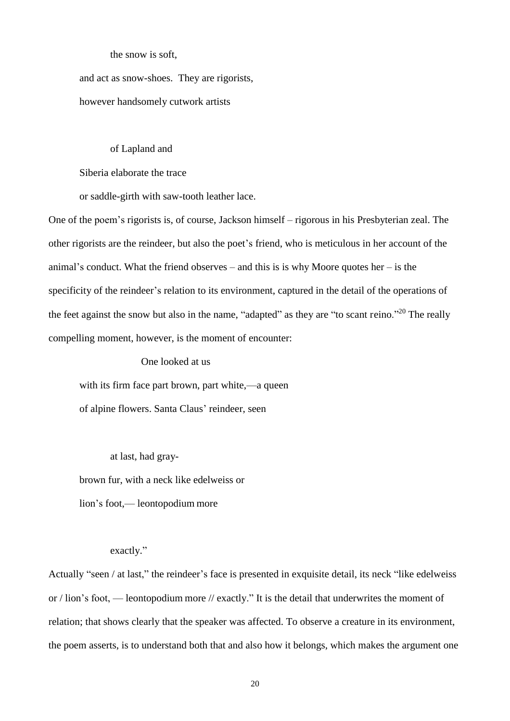the snow is soft,

and act as snow-shoes. They are rigorists, however handsomely cutwork artists

#### of Lapland and

Siberia elaborate the trace

or saddle-girth with saw-tooth leather lace.

One of the poem's rigorists is, of course, Jackson himself – rigorous in his Presbyterian zeal. The other rigorists are the reindeer, but also the poet's friend, who is meticulous in her account of the animal's conduct. What the friend observes – and this is is why Moore quotes her – is the specificity of the reindeer's relation to its environment, captured in the detail of the operations of the feet against the snow but also in the name, "adapted" as they are "to scant reino."<sup>20</sup> The really compelling moment, however, is the moment of encounter:

One looked at us

with its firm face part brown, part white,—a queen

of alpine flowers. Santa Claus' reindeer, seen

at last, had gray-

brown fur, with a neck like edelweiss or

lion's foot,— leontopodium more

#### exactly."

Actually "seen / at last," the reindeer's face is presented in exquisite detail, its neck "like edelweiss" or / lion's foot, — leontopodium more // exactly." It is the detail that underwrites the moment of relation; that shows clearly that the speaker was affected. To observe a creature in its environment, the poem asserts, is to understand both that and also how it belongs, which makes the argument one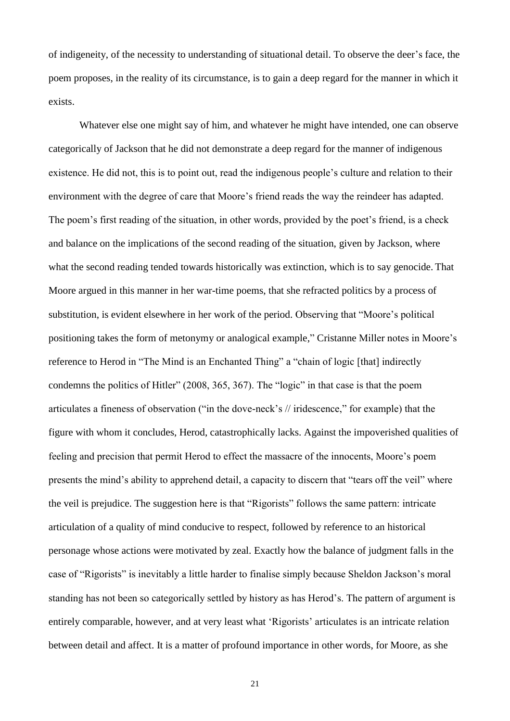of indigeneity, of the necessity to understanding of situational detail. To observe the deer's face, the poem proposes, in the reality of its circumstance, is to gain a deep regard for the manner in which it exists.

Whatever else one might say of him, and whatever he might have intended, one can observe categorically of Jackson that he did not demonstrate a deep regard for the manner of indigenous existence. He did not, this is to point out, read the indigenous people's culture and relation to their environment with the degree of care that Moore's friend reads the way the reindeer has adapted. The poem's first reading of the situation, in other words, provided by the poet's friend, is a check and balance on the implications of the second reading of the situation, given by Jackson, where what the second reading tended towards historically was extinction, which is to say genocide. That Moore argued in this manner in her war-time poems, that she refracted politics by a process of substitution, is evident elsewhere in her work of the period. Observing that "Moore's political positioning takes the form of metonymy or analogical example," Cristanne Miller notes in Moore's reference to Herod in "The Mind is an Enchanted Thing" a "chain of logic [that] indirectly condemns the politics of Hitler" (2008, 365, 367). The "logic" in that case is that the poem articulates a fineness of observation ("in the dove-neck's // iridescence," for example) that the figure with whom it concludes, Herod, catastrophically lacks. Against the impoverished qualities of feeling and precision that permit Herod to effect the massacre of the innocents, Moore's poem presents the mind's ability to apprehend detail, a capacity to discern that "tears off the veil" where the veil is prejudice. The suggestion here is that "Rigorists" follows the same pattern: intricate articulation of a quality of mind conducive to respect, followed by reference to an historical personage whose actions were motivated by zeal. Exactly how the balance of judgment falls in the case of "Rigorists" is inevitably a little harder to finalise simply because Sheldon Jackson's moral standing has not been so categorically settled by history as has Herod's. The pattern of argument is entirely comparable, however, and at very least what 'Rigorists' articulates is an intricate relation between detail and affect. It is a matter of profound importance in other words, for Moore, as she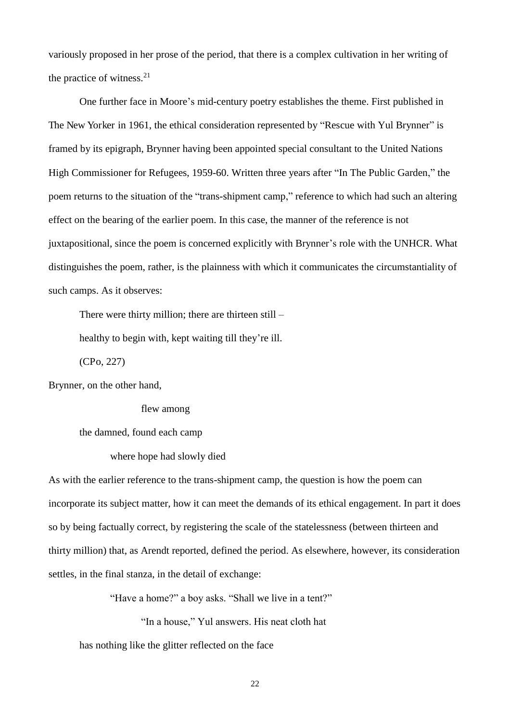variously proposed in her prose of the period, that there is a complex cultivation in her writing of the practice of witness. $2<sup>1</sup>$ 

 One further face in Moore's mid-century poetry establishes the theme. First published in The New Yorker in 1961, the ethical consideration represented by "Rescue with Yul Brynner" is framed by its epigraph, Brynner having been appointed special consultant to the United Nations High Commissioner for Refugees, 1959-60. Written three years after "In The Public Garden," the poem returns to the situation of the "trans-shipment camp," reference to which had such an altering effect on the bearing of the earlier poem. In this case, the manner of the reference is not juxtapositional, since the poem is concerned explicitly with Brynner's role with the UNHCR. What distinguishes the poem, rather, is the plainness with which it communicates the circumstantiality of such camps. As it observes:

There were thirty million; there are thirteen still –

healthy to begin with, kept waiting till they're ill.

(CPo, 227)

Brynner, on the other hand,

flew among

the damned, found each camp

#### where hope had slowly died

As with the earlier reference to the trans-shipment camp, the question is how the poem can incorporate its subject matter, how it can meet the demands of its ethical engagement. In part it does so by being factually correct, by registering the scale of the statelessness (between thirteen and thirty million) that, as Arendt reported, defined the period. As elsewhere, however, its consideration settles, in the final stanza, in the detail of exchange:

"Have a home?" a boy asks. "Shall we live in a tent?"

"In a house," Yul answers. His neat cloth hat

has nothing like the glitter reflected on the face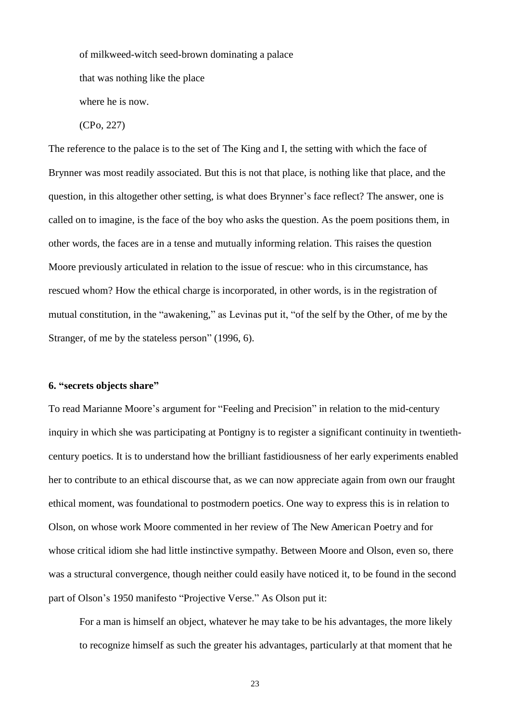of milkweed-witch seed-brown dominating a palace

that was nothing like the place

where he is now.

(CPo, 227)

The reference to the palace is to the set of The King and I, the setting with which the face of Brynner was most readily associated. But this is not that place, is nothing like that place, and the question, in this altogether other setting, is what does Brynner's face reflect? The answer, one is called on to imagine, is the face of the boy who asks the question. As the poem positions them, in other words, the faces are in a tense and mutually informing relation. This raises the question Moore previously articulated in relation to the issue of rescue: who in this circumstance, has rescued whom? How the ethical charge is incorporated, in other words, is in the registration of mutual constitution, in the "awakening," as Levinas put it, "of the self by the Other, of me by the Stranger, of me by the stateless person" (1996, 6).

#### **6. "secrets objects share"**

To read Marianne Moore's argument for "Feeling and Precision" in relation to the mid-century inquiry in which she was participating at Pontigny is to register a significant continuity in twentiethcentury poetics. It is to understand how the brilliant fastidiousness of her early experiments enabled her to contribute to an ethical discourse that, as we can now appreciate again from own our fraught ethical moment, was foundational to postmodern poetics. One way to express this is in relation to Olson, on whose work Moore commented in her review of The New American Poetry and for whose critical idiom she had little instinctive sympathy. Between Moore and Olson, even so, there was a structural convergence, though neither could easily have noticed it, to be found in the second part of Olson's 1950 manifesto "Projective Verse." As Olson put it:

For a man is himself an object, whatever he may take to be his advantages, the more likely to recognize himself as such the greater his advantages, particularly at that moment that he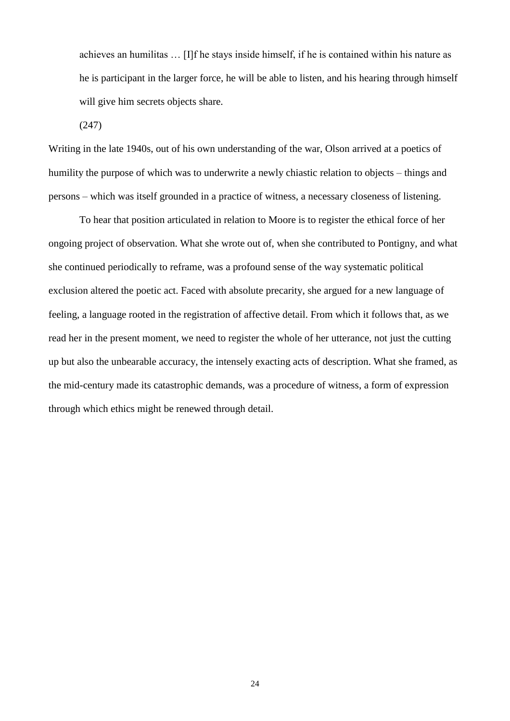achieves an humilitas … [I]f he stays inside himself, if he is contained within his nature as he is participant in the larger force, he will be able to listen, and his hearing through himself will give him secrets objects share.

(247)

Writing in the late 1940s, out of his own understanding of the war, Olson arrived at a poetics of humility the purpose of which was to underwrite a newly chiastic relation to objects – things and persons – which was itself grounded in a practice of witness, a necessary closeness of listening.

To hear that position articulated in relation to Moore is to register the ethical force of her ongoing project of observation. What she wrote out of, when she contributed to Pontigny, and what she continued periodically to reframe, was a profound sense of the way systematic political exclusion altered the poetic act. Faced with absolute precarity, she argued for a new language of feeling, a language rooted in the registration of affective detail. From which it follows that, as we read her in the present moment, we need to register the whole of her utterance, not just the cutting up but also the unbearable accuracy, the intensely exacting acts of description. What she framed, as the mid-century made its catastrophic demands, was a procedure of witness, a form of expression through which ethics might be renewed through detail.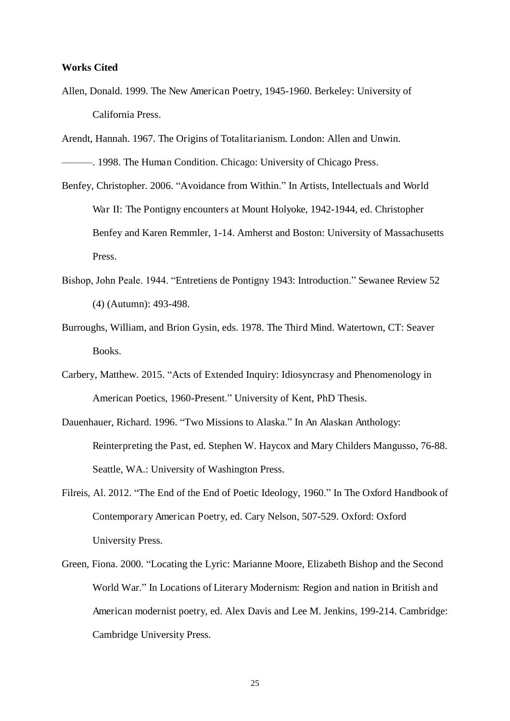#### **Works Cited**

Allen, Donald. 1999. The New American Poetry, 1945-1960. Berkeley: University of California Press.

Arendt, Hannah. 1967. The Origins of Totalitarianism. London: Allen and Unwin.

- ———. 1998. The Human Condition. Chicago: University of Chicago Press.
- Benfey, Christopher. 2006. "Avoidance from Within." In Artists, Intellectuals and World War II: The Pontigny encounters at Mount Holyoke, 1942-1944, ed. Christopher Benfey and Karen Remmler, 1-14. Amherst and Boston: University of Massachusetts Press.
- Bishop, John Peale. 1944. "Entretiens de Pontigny 1943: Introduction." Sewanee Review 52 (4) (Autumn): 493-498.
- Burroughs, William, and Brion Gysin, eds. 1978. The Third Mind. Watertown, CT: Seaver Books.
- Carbery, Matthew. 2015. "Acts of Extended Inquiry: Idiosyncrasy and Phenomenology in American Poetics, 1960-Present." University of Kent, PhD Thesis.
- Dauenhauer, Richard. 1996. "Two Missions to Alaska." In An Alaskan Anthology: Reinterpreting the Past, ed. Stephen W. Haycox and Mary Childers Mangusso, 76-88. Seattle, WA.: University of Washington Press.
- Filreis, Al. 2012. "The End of the End of Poetic Ideology, 1960." In The Oxford Handbook of Contemporary American Poetry, ed. Cary Nelson, 507-529. Oxford: Oxford University Press.
- Green, Fiona. 2000. "Locating the Lyric: Marianne Moore, Elizabeth Bishop and the Second World War." In Locations of Literary Modernism: Region and nation in British and American modernist poetry, ed. Alex Davis and Lee M. Jenkins, 199-214. Cambridge: Cambridge University Press.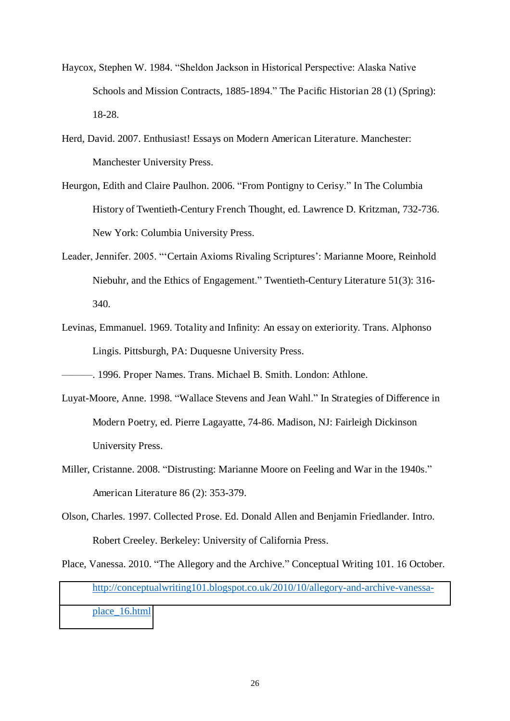- Haycox, Stephen W. 1984. "Sheldon Jackson in Historical Perspective: Alaska Native Schools and Mission Contracts, 1885-1894." The Pacific Historian 28 (1) (Spring): 18-28.
- Herd, David. 2007. Enthusiast! Essays on Modern American Literature. Manchester: Manchester University Press.
- Heurgon, Edith and Claire Paulhon. 2006. "From Pontigny to Cerisy." In The Columbia History of Twentieth-Century French Thought, ed. Lawrence D. Kritzman, 732-736. New York: Columbia University Press.
- Leader, Jennifer. 2005. "'Certain Axioms Rivaling Scriptures': Marianne Moore, Reinhold Niebuhr, and the Ethics of Engagement." Twentieth-Century Literature 51(3): 316- 340.
- Levinas, Emmanuel. 1969. Totality and Infinity: An essay on exteriority. Trans. Alphonso Lingis. Pittsburgh, PA: Duquesne University Press.

———. 1996. Proper Names. Trans. Michael B. Smith. London: Athlone.

- Luyat-Moore, Anne. 1998. "Wallace Stevens and Jean Wahl." In Strategies of Difference in Modern Poetry, ed. Pierre Lagayatte, 74-86. Madison, NJ: Fairleigh Dickinson University Press.
- Miller, Cristanne. 2008. "Distrusting: Marianne Moore on Feeling and War in the 1940s." American Literature 86 (2): 353-379.
- Olson, Charles. 1997. Collected Prose. Ed. Donald Allen and Benjamin Friedlander. Intro. Robert Creeley. Berkeley: University of California Press.
- Place, Vanessa. 2010. "The Allegory and the Archive." Conceptual Writing 101. 16 October. [http://conceptualwriting101.blogspot.co.uk/2010/10/allegory-and-archive-vanessa](http://conceptualwriting101.blogspot.co.uk/2010/10/allegory-and-archive-vanessa-place_16.html)[place\\_16.html](http://conceptualwriting101.blogspot.co.uk/2010/10/allegory-and-archive-vanessa-place_16.html)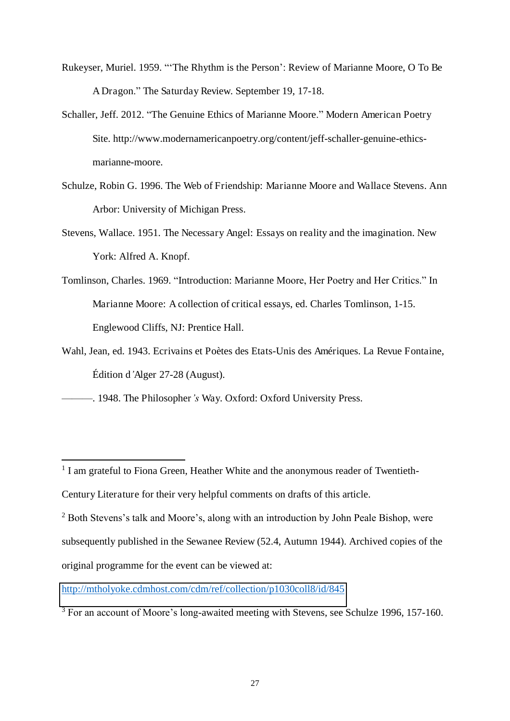- Rukeyser, Muriel. 1959. "'The Rhythm is the Person': Review of Marianne Moore, O To Be A Dragon." The Saturday Review. September 19, 17-18.
- Schaller, Jeff. 2012. "The Genuine Ethics of Marianne Moore." Modern American Poetry Site. http://www.modernamericanpoetry.org/content/jeff-schaller-genuine-ethicsmarianne-moore.
- Schulze, Robin G. 1996. The Web of Friendship: Marianne Moore and Wallace Stevens. Ann Arbor: University of Michigan Press.
- Stevens, Wallace. 1951. The Necessary Angel: Essays on reality and the imagination. New York: Alfred A. Knopf.
- Tomlinson, Charles. 1969. "Introduction: Marianne Moore, Her Poetry and Her Critics." In Marianne Moore: A collection of critical essays, ed. Charles Tomlinson, 1-15. Englewood Cliffs, NJ: Prentice Hall.
- Wahl, Jean, ed. 1943. Ecrivains et Poètes des Etats-Unis des Amériques. La Revue Fontaine, Édition d*'*Alger 27-28 (August).
- ———. 1948. The Philosopher*'s* Way. Oxford: Oxford University Press.

 $\overline{a}$ 

<http://mtholyoke.cdmhost.com/cdm/ref/collection/p1030coll8/id/845>

<sup>&</sup>lt;sup>1</sup> I am grateful to Fiona Green, Heather White and the anonymous reader of Twentieth-Century Literature for their very helpful comments on drafts of this article.

<sup>2</sup> Both Stevens's talk and Moore's, along with an introduction by John Peale Bishop, were subsequently published in the Sewanee Review (52.4, Autumn 1944). Archived copies of the original programme for the event can be viewed at:

<sup>&</sup>lt;sup>3</sup> For an account of Moore's long-awaited meeting with Stevens, see Schulze 1996, 157-160.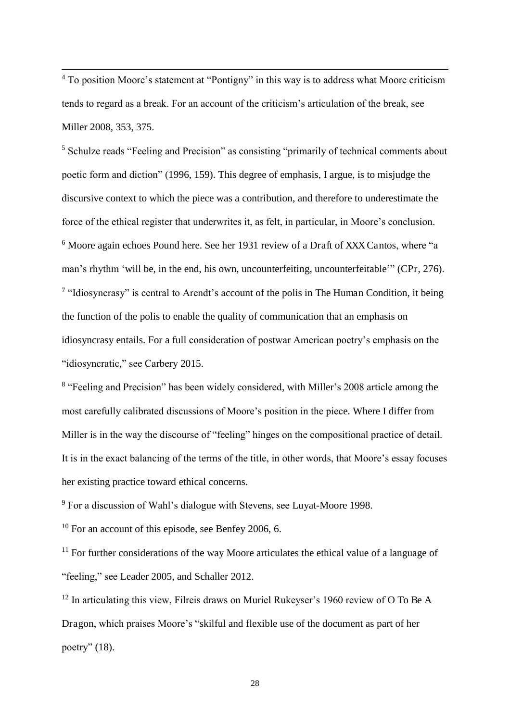<sup>4</sup> To position Moore's statement at "Pontigny" in this way is to address what Moore criticism tends to regard as a break. For an account of the criticism's articulation of the break, see Miller 2008, 353, 375.

 $\overline{a}$ 

<sup>5</sup> Schulze reads "Feeling and Precision" as consisting "primarily of technical comments about poetic form and diction" (1996, 159). This degree of emphasis, I argue, is to misjudge the discursive context to which the piece was a contribution, and therefore to underestimate the force of the ethical register that underwrites it, as felt, in particular, in Moore's conclusion. <sup>6</sup> Moore again echoes Pound here. See her 1931 review of a Draft of XXX Cantos, where "a man's rhythm 'will be, in the end, his own, uncounterfeiting, uncounterfeitable'" (CPr, 276). <sup>7</sup> "Idiosyncrasy" is central to Arendt's account of the polis in The Human Condition, it being the function of the polis to enable the quality of communication that an emphasis on idiosyncrasy entails. For a full consideration of postwar American poetry's emphasis on the "idiosyncratic," see Carbery 2015.

<sup>8</sup> "Feeling and Precision" has been widely considered, with Miller's 2008 article among the most carefully calibrated discussions of Moore's position in the piece. Where I differ from Miller is in the way the discourse of "feeling" hinges on the compositional practice of detail. It is in the exact balancing of the terms of the title, in other words, that Moore's essay focuses her existing practice toward ethical concerns.

<sup>9</sup> For a discussion of Wahl's dialogue with Stevens, see Luyat-Moore 1998.

<sup>10</sup> For an account of this episode, see Benfey 2006, 6.

 $11$  For further considerations of the way Moore articulates the ethical value of a language of "feeling," see Leader 2005, and Schaller 2012.

<sup>12</sup> In articulating this view, Filreis draws on Muriel Rukeyser's 1960 review of O To Be A Dragon, which praises Moore's "skilful and flexible use of the document as part of her poetry" (18).